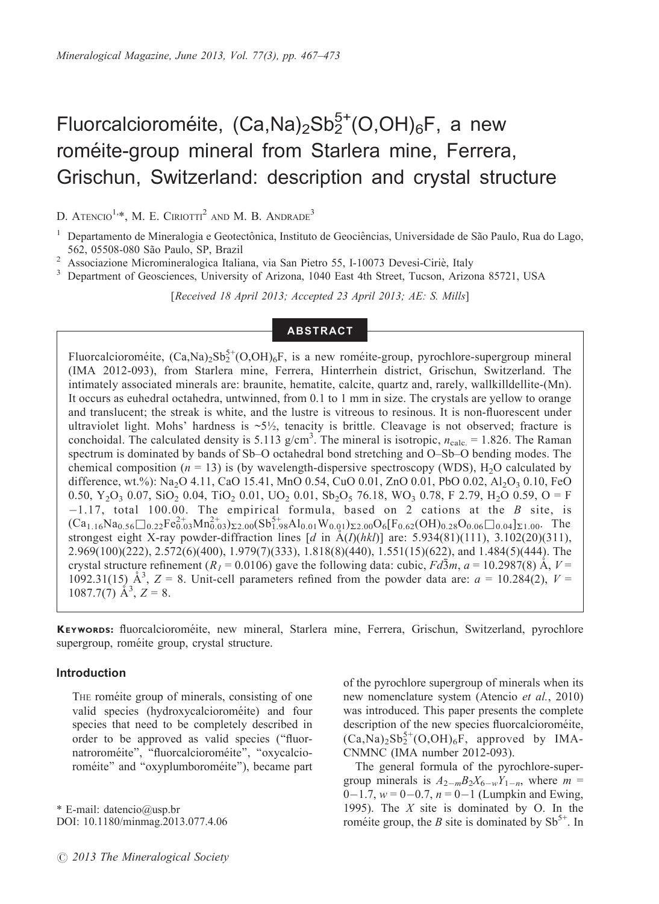# Fluorcalcioroméite,  $(Ca,Na)_2Sb_2^{5+}(O,OH)_6F$ , a new roméite-group mineral from Starlera mine, Ferrera, Grischun, Switzerland: description and crystal structure

D. ATENCIO<sup>1,\*</sup>, M. E. CIRIOTTI<sup>2</sup> AND M. B. ANDRADE<sup>3</sup>

<sup>2</sup> Associazione Micromineralogica Italiana, via San Pietro 55, I-10073 Devesi-Ciriè, Italy<br><sup>3</sup> Department of Geosciences, University of Arizona, 1040 East 4th Street, Tucson, Arizona 85721, USA

[Received 18 April 2013; Accepted 23 April 2013; AE: S. Mills]

### **ABSTRACT**

Fluorcalcioroméite,  $(Ca, Na)_2Sb_2^{5+}(O, OH)_6F$ , is a new roméite-group, pyrochlore-supergroup mineral (IMA 2012-093), from Starlera mine, Ferrera, Hinterrhein district, Grischun, Switzerland. The intimately associated minerals are: braunite, hematite, calcite, quartz and, rarely, wallkilldellite-(Mn). It occurs as euhedral octahedra, untwinned, from 0.1 to 1 mm in size. The crystals are yellow to orange and translucent; the streak is white, and the lustre is vitreous to resinous. It is non-fluorescent under ultraviolet light. Mohs' hardness is  $\sim 5\frac{1}{2}$ , tenacity is brittle. Cleavage is not observed; fracture is conchoidal. The calculated density is 5.113 g/cm<sup>3</sup>. The mineral is isotropic,  $n_{\text{calc}} = 1.826$ . The Raman spectrum is dominated by bands of Sb–O octahedral bond stretching and O–Sb–O bending modes. The chemical composition ( $n = 13$ ) is (by wavelength-dispersive spectroscopy (WDS), H<sub>2</sub>O calculated by difference, wt.%): Na<sub>2</sub>O 4.11, CaO 15.41, MnO 0.54, CuO 0.01, ZnO 0.01, PbO 0.02, Al<sub>2</sub>O<sub>3</sub> 0.10, FeO 0.50,  $Y_2O_3$  0.07, SiO<sub>2</sub> 0.04, TiO<sub>2</sub> 0.01, UO<sub>2</sub> 0.01, Sb<sub>2</sub>O<sub>5</sub> 76.18, WO<sub>3</sub> 0.78, F 2.79, H<sub>2</sub>O 0.59, O = F  $-1.17$ , total 100.00. The empirical formula, based on 2 cations at the B site, is  $(Ca_{1.16}Na_{0.56}\Box_{0.22}Fe_{0.03}^{2+}Mn_{0.03}^{2+})\Sigma_{2.00}(Sb_{1.98}^{5+}Al_{0.01}W_{0.01})\Sigma_{2.00}O_6[F_{0.62}(OH)_{0.28}O_{0.06}\Box_{0.04}]\Sigma_{1.00}$ . The strongest eight X-ray powder-diffraction lines  $[d$  in  $\AA(I)(hk)]$  are: 5.934(81)(111), 3.102(20)(311), 2.969(100)(222), 2.572(6)(400), 1.979(7)(333), 1.818(8)(440), 1.551(15)(622), and 1.484(5)(444). The crystal structure refinement  $(R<sub>l</sub> = 0.0106)$  gave the following data: cubic,  $Fd\bar{3}m$ ,  $a = 10.2987(8)$  Å,  $V =$ 1092.31(15)  $\AA^3$ , Z = 8. Unit-cell parameters refined from the powder data are:  $a = 10.284(2)$ , V = 1087.7(7)  $\mathring{A}^3$ , Z = 8.

KEYWORDS: fluorcalcioroméite, new mineral, Starlera mine, Ferrera, Grischun, Switzerland, pyrochlore supergroup, roméite group, crystal structure.

#### Introduction

THE roméite group of minerals, consisting of one valid species (hydroxycalcioroméite) and four species that need to be completely described in order to be approved as valid species (''fluornatroroméite", "fluorcalcioroméite", "oxycalcioroméite" and "oxyplumboroméite"), became part

\* E-mail: datencio@usp.br DOI: 10.1180/minmag.2013.077.4.06 of the pyrochlore supergroup of minerals when its new nomenclature system (Atencio et al., 2010) was introduced. This paper presents the complete description of the new species fluorcalcioroméite,  $(Ca, \text{Na})_2\text{Sb}_2^{5+}$  $(O, \text{OH})_6\text{F}$ , approved by IMA-CNMNC (IMA number 2012-093).

The general formula of the pyrochlore-supergroup minerals is  $A_{2-m}B_2X_{6-w}Y_{1-n}$ , where  $m =$  $0-1.7$ ,  $w=0-0.7$ ,  $n=0-1$  (Lumpkin and Ewing, 1995). The  $X$  site is dominated by O. In the roméite group, the B site is dominated by  $Sb^{5+}$ . In

<sup>&</sup>lt;sup>1</sup> Departamento de Mineralogia e Geotectônica, Instituto de Geociências, Universidade de São Paulo, Rua do Lago, 562, 05508-080 São Paulo, SP, Brazil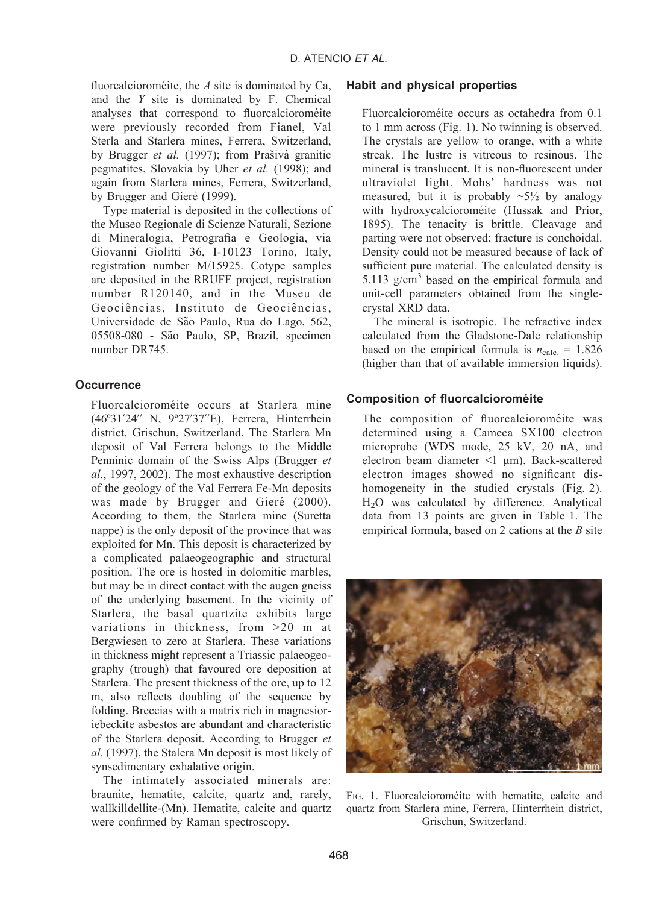fluorcalcioroméite, the  $A$  site is dominated by Ca, and the Y site is dominated by F. Chemical analyses that correspond to fluorcalcioroméite were previously recorded from Fianel, Val Sterla and Starlera mines, Ferrera, Switzerland, by Brugger et al. (1997); from Prašivá granitic pegmatites, Slovakia by Uher et al. (1998); and again from Starlera mines, Ferrera, Switzerland, by Brugger and Gieré (1999).

Type material is deposited in the collections of the Museo Regionale di Scienze Naturali, Sezione di Mineralogia, Petrografia e Geologia, via Giovanni Giolitti 36, I-10123 Torino, Italy, registration number M/15925. Cotype samples are deposited in the RRUFF project, registration number R120140, and in the Museu de Geociências, Instituto de Geociências. Universidade de São Paulo, Rua do Lago, 562, 05508-080 - São Paulo, SP, Brazil, specimen number DR745.

#### **Occurrence**

Fluorcalcioroméite occurs at Starlera mine (46º31'24'' N, 9º27'37''E), Ferrera, Hinterrhein district, Grischun, Switzerland. The Starlera Mn deposit of Val Ferrera belongs to the Middle Penninic domain of the Swiss Alps (Brugger et al., 1997, 2002). The most exhaustive description of the geology of the Val Ferrera Fe-Mn deposits was made by Brugger and Gieré (2000). According to them, the Starlera mine (Suretta nappe) is the only deposit of the province that was exploited for Mn. This deposit is characterized by a complicated palaeogeographic and structural position. The ore is hosted in dolomitic marbles, but may be in direct contact with the augen gneiss of the underlying basement. In the vicinity of Starlera, the basal quartzite exhibits large variations in thickness, from >20 m at Bergwiesen to zero at Starlera. These variations in thickness might represent a Triassic palaeogeography (trough) that favoured ore deposition at Starlera. The present thickness of the ore, up to 12 m, also reflects doubling of the sequence by folding. Breccias with a matrix rich in magnesioriebeckite asbestos are abundant and characteristic of the Starlera deposit. According to Brugger et al. (1997), the Stalera Mn deposit is most likely of synsedimentary exhalative origin.

The intimately associated minerals are: braunite, hematite, calcite, quartz and, rarely, wallkilldellite-(Mn). Hematite, calcite and quartz were confirmed by Raman spectroscopy.

## Habit and physical properties

Fluorcalcioroméite occurs as octahedra from 0.1 to 1 mm across (Fig. 1). No twinning is observed. The crystals are yellow to orange, with a white streak. The lustre is vitreous to resinous. The mineral is translucent. It is non-fluorescent under ultraviolet light. Mohs' hardness was not measured, but it is probably  $\sim 5\frac{1}{2}$  by analogy with hydroxycalcioroméite (Hussak and Prior, 1895). The tenacity is brittle. Cleavage and parting were not observed; fracture is conchoidal. Density could not be measured because of lack of sufficient pure material. The calculated density is 5.113  $g/cm<sup>3</sup>$  based on the empirical formula and unit-cell parameters obtained from the singlecrystal XRD data.

The mineral is isotropic. The refractive index calculated from the Gladstone-Dale relationship based on the empirical formula is  $n_{\text{calc.}} = 1.826$ (higher than that of available immersion liquids).

### Composition of fluorcalcioroméite

The composition of fluorcalcioroméite was determined using a Cameca SX100 electron microprobe (WDS mode, 25 kV, 20 nA, and electron beam diameter  $\leq 1$  um). Back-scattered electron images showed no significant dishomogeneity in the studied crystals (Fig. 2). H2O was calculated by difference. Analytical data from 13 points are given in Table 1. The empirical formula, based on 2 cations at the  $B$  site



FIG. 1. Fluorcalcioroméite with hematite, calcite and quartz from Starlera mine, Ferrera, Hinterrhein district, Grischun, Switzerland.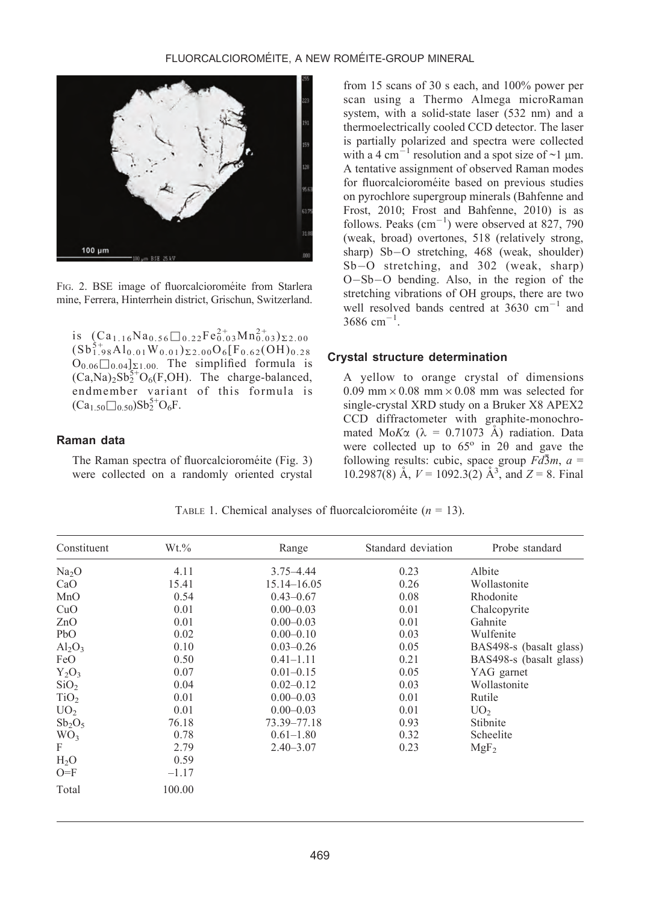

FIG. 2. BSE image of fluorcalcioroméite from Starlera mine, Ferrera, Hinterrhein district, Grischun, Switzerland.

is  $(Ca_{1.16}Na_{0.56}\Box_{0.22}Fe_{0.03}^{2+}Mn_{0.03}^{2+})_{\Sigma_{2.00}}$  $(Sb_{1.98}^{5+}Al_{0.01}W_{0.01})_{\Sigma2.00}O_6[F_{0.62}(OH)_{0.28}$  $O_{0.06}$  $\Box$ <sub>0.04</sub>]<sub> $\Sigma$ 1.00</sub>. The simplified formula is  $(Ca, Na)_2Sb_2^{5+}O_6(F, OH)$ . The charge-balanced, endmember variant of this formula is  $(Ca_{1.50}\Box_{0.50})Sb_2^{5+}O_6F.$ 

### Raman data

The Raman spectra of fluorcalcioroméite (Fig. 3) were collected on a randomly oriented crystal

from 15 scans of 30 s each, and 100% power per scan using a Thermo Almega microRaman system, with a solid-state laser (532 nm) and a thermoelectrically cooled CCD detector. The laser is partially polarized and spectra were collected with a 4 cm<sup>-1</sup> resolution and a spot size of  $\sim$ 1 µm. A tentative assignment of observed Raman modes for fluorcalcioroméite based on previous studies on pyrochlore supergroup minerals (Bahfenne and Frost, 2010; Frost and Bahfenne, 2010) is as follows. Peaks  $\text{(cm}^{-1}\text{)}$  were observed at 827, 790 (weak, broad) overtones, 518 (relatively strong, sharp) Sb-O stretching, 468 (weak, shoulder) Sb-O stretching, and 302 (weak, sharp) O-Sb-O bending. Also, in the region of the stretching vibrations of OH groups, there are two well resolved bands centred at  $3630 \text{ cm}^{-1}$  and  $3686$  cm<sup>-1</sup>.

#### Crystal structure determination

A yellow to orange crystal of dimensions 0.09 mm  $\times$  0.08 mm  $\times$  0.08 mm was selected for single-crystal XRD study on a Bruker X8 APEX2 CCD diffractometer with graphite-monochromated Mo $K\alpha$  ( $\lambda = 0.71073$  Å) radiation. Data were collected up to  $65^\circ$  in  $2\theta$  and gave the following results: cubic, space group  $Fd\bar{3}m$ ,  $a =$ 10.2987(8) Å,  $V = 1092.3(2)$  Å<sup>3</sup>, and  $Z = 8$ . Final

| Constituent       | $Wt.\%$ | Range         | Standard deviation | Probe standard          |
|-------------------|---------|---------------|--------------------|-------------------------|
| Na <sub>2</sub> O | 4.11    | $3.75 - 4.44$ | 0.23               | Albite                  |
| CaO               | 15.41   | 15.14-16.05   | 0.26               | Wollastonite            |
| MnO               | 0.54    | $0.43 - 0.67$ | 0.08               | Rhodonite               |
| CuO               | 0.01    | $0.00 - 0.03$ | 0.01               | Chalcopyrite            |
| ZnO               | 0.01    | $0.00 - 0.03$ | 0.01               | Gahnite                 |
| PbO               | 0.02    | $0.00 - 0.10$ | 0.03               | Wulfenite               |
| $Al_2O_3$         | 0.10    | $0.03 - 0.26$ | 0.05               | BAS498-s (basalt glass) |
| FeO               | 0.50    | $0.41 - 1.11$ | 0.21               | BAS498-s (basalt glass) |
| $Y_2O_3$          | 0.07    | $0.01 - 0.15$ | 0.05               | YAG garnet              |
| SiO <sub>2</sub>  | 0.04    | $0.02 - 0.12$ | 0.03               | Wollastonite            |
| TiO <sub>2</sub>  | 0.01    | $0.00 - 0.03$ | 0.01               | Rutile                  |
| UO <sub>2</sub>   | 0.01    | $0.00 - 0.03$ | 0.01               | UO <sub>2</sub>         |
| $Sb_2O_5$         | 76.18   | 73.39–77.18   | 0.93               | Stibnite                |
| WO <sub>3</sub>   | 0.78    | $0.61 - 1.80$ | 0.32               | Scheelite               |
| F                 | 2.79    | $2.40 - 3.07$ | 0.23               | MgF <sub>2</sub>        |
| H <sub>2</sub> O  | 0.59    |               |                    |                         |
| $O=F$             | $-1.17$ |               |                    |                         |
| Total             | 100.00  |               |                    |                         |

TABLE 1. Chemical analyses of fluorcalcioroméite ( $n = 13$ ).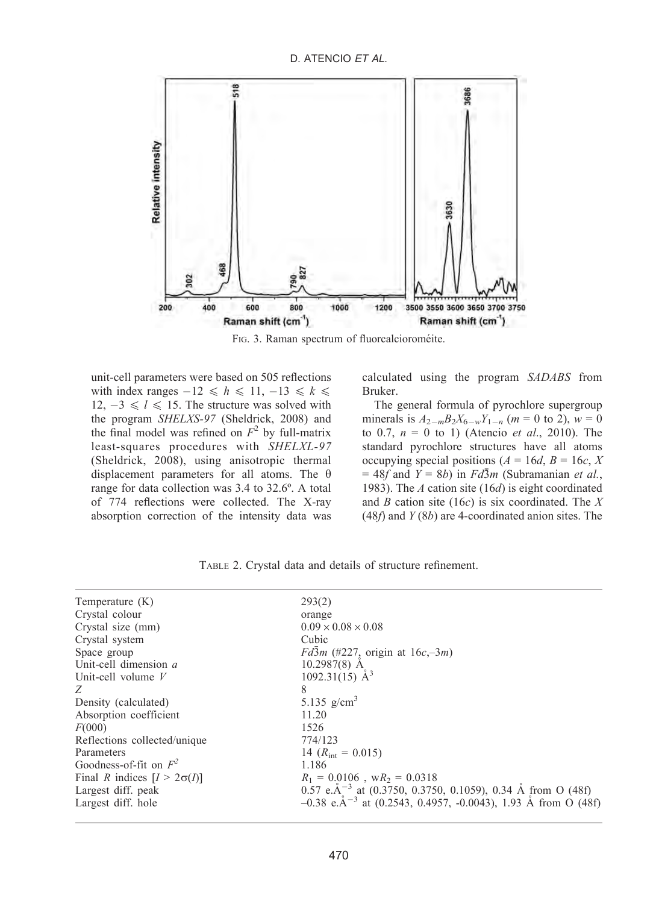

FIG. 3. Raman spectrum of fluorcalcioroméite.

unit-cell parameters were based on 505 reflections with index ranges  $-12 \leq h \leq 11, -13 \leq k \leq$  $12, -3 \le l \le 15$ . The structure was solved with the program SHELXS-97 (Sheldrick, 2008) and the final model was refined on  $F^2$  by full-matrix least-squares procedures with SHELXL-97 (Sheldrick, 2008), using anisotropic thermal displacement parameters for all atoms. The  $\theta$ range for data collection was 3.4 to 32.6º. A total of 774 reflections were collected. The X-ray absorption correction of the intensity data was calculated using the program SADABS from Bruker.

The general formula of pyrochlore supergroup minerals is  $A_{2-m}B_2X_{6-w}Y_{1-n}$  (*m* = 0 to 2), *w* = 0 to 0.7,  $n = 0$  to 1) (Atencio *et al.*, 2010). The standard pyrochlore structures have all atoms occupying special positions ( $A = 16d$ ,  $B = 16c$ , X = 48f and  $Y = 8b$ ) in  $Fd\overline{3}m$  (Subramanian et al., 1983). The A cation site (16d) is eight coordinated and B cation site (16 $c$ ) is six coordinated. The X  $(48f)$  and  $Y(8b)$  are 4-coordinated anion sites. The

| Temperature $(K)$                  | 293(2)                                                                                   |
|------------------------------------|------------------------------------------------------------------------------------------|
| Crystal colour                     | orange                                                                                   |
| Crystal size (mm)                  | $0.09 \times 0.08 \times 0.08$                                                           |
| Crystal system                     | Cubic                                                                                    |
| Space group                        | $Fd\bar{3}m$ (#227, origin at $16c, -3m$ )                                               |
| Unit-cell dimension a              | $10.2987(8)$ A                                                                           |
| Unit-cell volume $V$               | 1092.31(15) $\AA^3$                                                                      |
| 8<br>Z                             |                                                                                          |
| Density (calculated)               | 5.135 $g/cm^{3}$                                                                         |
| Absorption coefficient             | 11.20                                                                                    |
| F(000)                             | 1526                                                                                     |
| Reflections collected/unique       | 774/123                                                                                  |
| Parameters                         | 14 $(R_{\text{int}} = 0.015)$                                                            |
| Goodness-of-fit on $F^2$           | 1.186                                                                                    |
| Final R indices $[I > 2\sigma(I)]$ | $R_1 = 0.0106$ , w $R_2 = 0.0318$                                                        |
| Largest diff. peak                 | $0.57$ e.Å <sup>-3</sup> at (0.3750, 0.3750, 0.1059), 0.34 Å from O (48f)                |
| Largest diff. hole                 | $-0.38$ e.Å <sup><math>-3</math></sup> at (0.2543, 0.4957, -0.0043), 1.93 Å from O (48f) |

TABLE 2. Crystal data and details of structure refinement.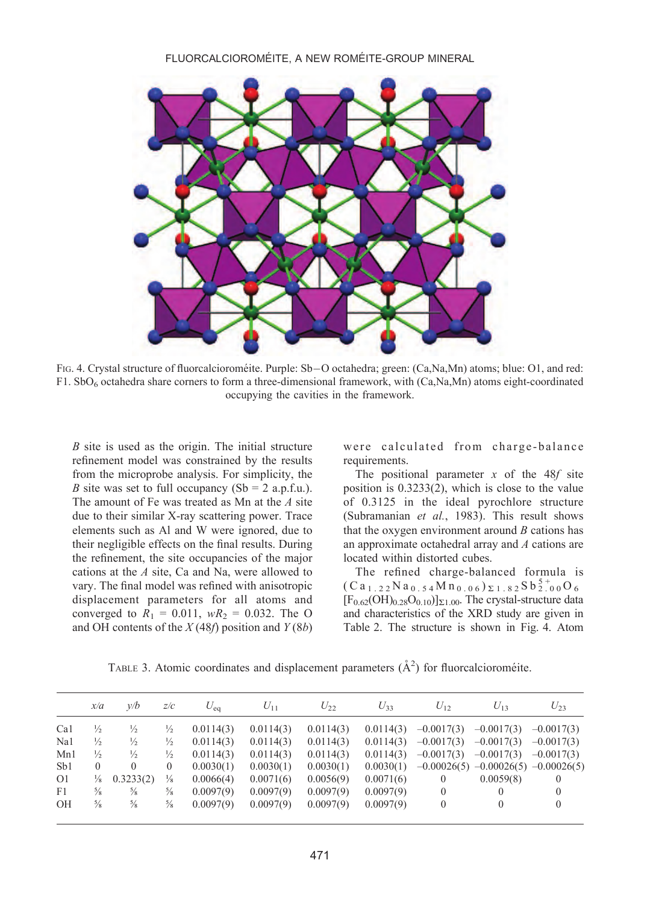

F1G. 4. Crystal structure of fluorcalcioroméite. Purple: Sb—O octahedra; green: (Ca,Na,Mn) atoms; blue: O1, and red: F1. SbO<sub>6</sub> octahedra share corners to form a three-dimensional framework, with (Ca,Na,Mn) atoms eight-coordinated occupying the cavities in the framework.

B site is used as the origin. The initial structure refinement model was constrained by the results from the microprobe analysis. For simplicity, the B site was set to full occupancy  $(Sb = 2 a.p.f.u.).$ The amount of Fe was treated as Mn at the  $A$  site due to their similar X-ray scattering power. Trace elements such as Al and W were ignored, due to their negligible effects on the final results. During the refinement, the site occupancies of the major cations at the A site, Ca and Na, were allowed to vary. The final model was refined with anisotropic displacement parameters for all atoms and converged to  $R_1 = 0.011$ ,  $wR_2 = 0.032$ . The O and OH contents of the  $X(48f)$  position and  $Y(8b)$ 

were calculated from charge-balance requirements.

The positional parameter  $x$  of the 48 $f$  site position is 0.3233(2), which is close to the value of 0.3125 in the ideal pyrochlore structure (Subramanian et al., 1983). This result shows that the oxygen environment around  $B$  cations has an approximate octahedral array and A cations are located within distorted cubes.

The refined charge-balanced formula is  $(Ca_{1.22}$  N  $a_{0.54}$  M  $n_{0.06}$   $)$   $\Sigma$  1.82 S b  $^{5+}_{2.00}$  O  $_6$  $[F<sub>0.62</sub>(OH)<sub>0.28</sub>O<sub>0.10</sub>]<sub>\Sigma1.00</sub>$ . The crystal-structure data and characteristics of the XRD study are given in Table 2. The structure is shown in Fig. 4. Atom

TABLE 3. Atomic coordinates and displacement parameters  $(\AA^2)$  for fluorcalcioroméite.

|                | x/a           | v/b           | z/c           | $U_{\rm ea}$ | $U_{11}$  | $U_{22}$  | $U_{33}$  | $U_{12}$     | $U_{13}$                                  | $U_{23}$     |
|----------------|---------------|---------------|---------------|--------------|-----------|-----------|-----------|--------------|-------------------------------------------|--------------|
| Ca1            | $\frac{1}{2}$ | $\frac{1}{2}$ | $\frac{1}{2}$ | 0.0114(3)    | 0.0114(3) | 0.0114(3) | 0.0114(3) | $-0.0017(3)$ | $-0.0017(3)$                              | $-0.0017(3)$ |
| Na1            | $\frac{1}{2}$ | $\frac{1}{2}$ | $\frac{1}{2}$ | 0.0114(3)    | 0.0114(3) | 0.0114(3) | 0.0114(3) | $-0.0017(3)$ | $-0.0017(3)$                              | $-0.0017(3)$ |
| Mn1            | $\frac{1}{2}$ | $\frac{1}{2}$ | $\frac{1}{2}$ | 0.0114(3)    | 0.0114(3) | 0.0114(3) | 0.0114(3) | $-0.0017(3)$ | $-0.0017(3)$                              | $-0.0017(3)$ |
| Sb1            | $\theta$      | 0             | $\mathbf{0}$  | 0.0030(1)    | 0.0030(1) | 0.0030(1) | 0.0030(1) |              | $-0.00026(5)$ $-0.00026(5)$ $-0.00026(5)$ |              |
| O <sub>1</sub> | $\frac{1}{8}$ | 0.3233(2)     | $\frac{1}{8}$ | 0.0066(4)    | 0.0071(6) | 0.0056(9) | 0.0071(6) | $\Omega$     | 0.0059(8)                                 | 0            |
| F1             | $\frac{5}{8}$ | $\frac{5}{8}$ | $\frac{5}{8}$ | 0.0097(9)    | 0.0097(9) | 0.0097(9) | 0.0097(9) | $\left($     | 0                                         | $\Omega$     |
| OH             | $\frac{5}{8}$ | $\frac{5}{8}$ | $\frac{5}{8}$ | 0.0097(9)    | 0.0097(9) | 0.0097(9) | 0.0097(9) | $\theta$     | 0                                         | $\Omega$     |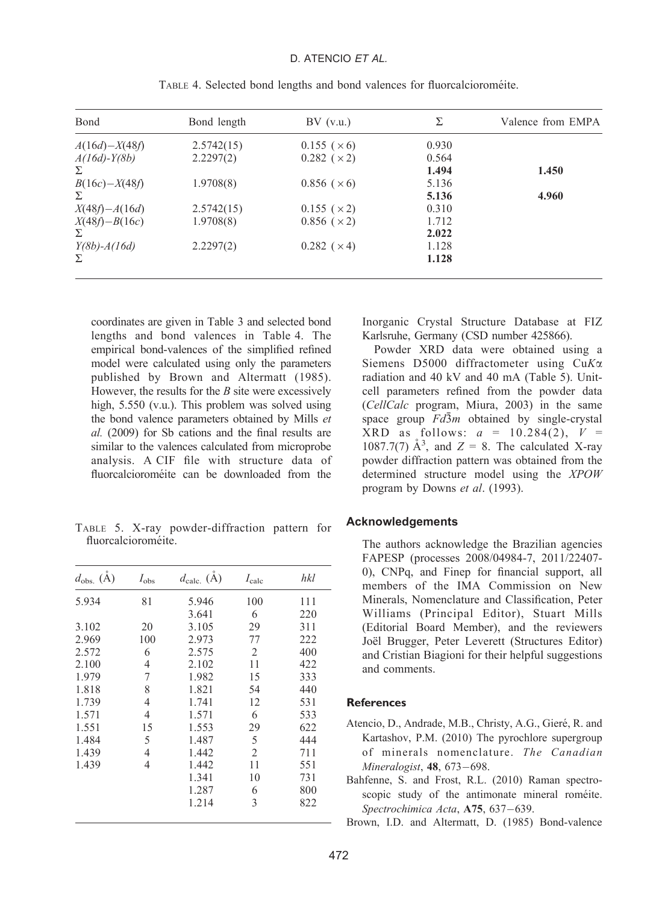## D. ATENCIO ET AL.

| Bond              | Bond length | $BV$ (v.u.)           | Σ     | Valence from EMPA |
|-------------------|-------------|-----------------------|-------|-------------------|
| $A(16d) - X(48f)$ | 2.5742(15)  | $0.155 \; (\times 6)$ | 0.930 |                   |
| $A(16d) - Y(8b)$  | 2.2297(2)   | $0.282 \; (\times 2)$ | 0.564 |                   |
| Σ                 |             |                       | 1.494 | 1.450             |
| $B(16c) - X(48f)$ | 1.9708(8)   | $0.856 \; (\times 6)$ | 5.136 |                   |
| Σ                 |             |                       | 5.136 | 4.960             |
| $X(48f) - A(16d)$ | 2.5742(15)  | $0.155 \; (\times 2)$ | 0.310 |                   |
| $X(48f) - B(16c)$ | 1.9708(8)   | $0.856$ ( $\times$ 2) | 1.712 |                   |
| Σ                 |             |                       | 2.022 |                   |
| $Y(8b) - A(16d)$  | 2.2297(2)   | $0.282 \; (\times 4)$ | 1.128 |                   |
| Σ                 |             |                       | 1.128 |                   |

TABLE 4. Selected bond lengths and bond valences for fluorcalcioroméite.

coordinates are given in Table 3 and selected bond lengths and bond valences in Table 4. The empirical bond-valences of the simplified refined model were calculated using only the parameters published by Brown and Altermatt (1985). However, the results for the  $B$  site were excessively high, 5.550 (v.u.). This problem was solved using the bond valence parameters obtained by Mills et al. (2009) for Sb cations and the final results are similar to the valences calculated from microprobe analysis. A CIF file with structure data of fluorcalcioroméite can be downloaded from the

TABLE 5. X-ray powder-diffraction pattern for fluorcalcioroméite.

| $d_{\text{obs.}}(\check{A})$ | $I_{\rm obs}$  | $d_{\text{calc.}}(\dot{A})$ | $I_{\text{calc}}$ | hkl |
|------------------------------|----------------|-----------------------------|-------------------|-----|
| 5.934                        | 81             | 5.946                       | 100               | 111 |
|                              |                | 3.641                       | 6                 | 220 |
| 3.102                        | 20             | 3.105                       | 29                | 311 |
| 2.969                        | 100            | 2.973                       | 77                | 222 |
| 2.572                        | 6              | 2.575                       | $\overline{2}$    | 400 |
| 2.100                        | 4              | 2.102                       | 11                | 422 |
| 1.979                        | 7              | 1.982                       | 15                | 333 |
| 1.818                        | 8              | 1.821                       | 54                | 440 |
| 1.739                        | 4              | 1.741                       | 12                | 531 |
| 1.571                        | 4              | 1.571                       | 6                 | 533 |
| 1.551                        | 15             | 1.553                       | 29                | 622 |
| 1.484                        | 5              | 1.487                       | 5                 | 444 |
| 1.439                        | $\overline{4}$ | 1.442                       | $\mathfrak{D}$    | 711 |
| 1.439                        | 4              | 1.442                       | 11                | 551 |
|                              |                | 1.341                       | 10                | 731 |
|                              |                | 1.287                       | 6                 | 800 |
|                              |                | 1.214                       | 3                 | 822 |
|                              |                |                             |                   |     |

Inorganic Crystal Structure Database at FIZ Karlsruhe, Germany (CSD number 425866).

Powder XRD data were obtained using a Siemens D5000 diffractometer using CuKa radiation and 40 kV and 40 mA (Table 5). Unitcell parameters refined from the powder data (CellCalc program, Miura, 2003) in the same space group  $Fd\bar{3}m$  obtained by single-crystal XRD as follows:  $a = 10.284(2)$ ,  $V =$ 1087.7(7)  $\mathring{A}^3$ , and  $Z = 8$ . The calculated X-ray powder diffraction pattern was obtained from the determined structure model using the XPOW program by Downs et al. (1993).

#### **Acknowledgements**

The authors acknowledge the Brazilian agencies FAPESP (processes 2008/04984-7, 2011/22407- 0), CNPq, and Finep for financial support, all members of the IMA Commission on New Minerals, Nomenclature and Classification, Peter Williams (Principal Editor), Stuart Mills (Editorial Board Member), and the reviewers Joël Brugger, Peter Leverett (Structures Editor) and Cristian Biagioni for their helpful suggestions and comments.

# References

- Atencio, D., Andrade, M.B., Christy, A.G., Gieré, R. and Kartashov, P.M. (2010) The pyrochlore supergroup of minerals nomenclature. The Canadian Mineralogist, 48, 673-698.
- Bahfenne, S. and Frost, R.L. (2010) Raman spectroscopic study of the antimonate mineral roméite. Spectrochimica Acta, A75, 637-639.

Brown, I.D. and Altermatt, D. (1985) Bond-valence